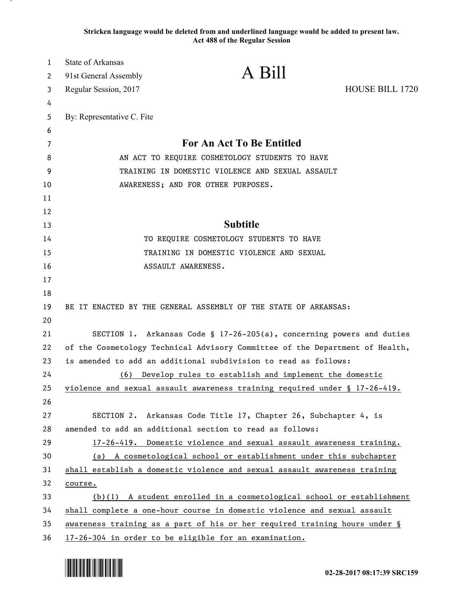**Stricken language would be deleted from and underlined language would be added to present law. Act 488 of the Regular Session**

| $\mathbf{1}$ | <b>State of Arkansas</b>                                                      | A Bill                                                                       |                 |
|--------------|-------------------------------------------------------------------------------|------------------------------------------------------------------------------|-----------------|
| 2            | 91st General Assembly                                                         |                                                                              |                 |
| 3            | Regular Session, 2017                                                         |                                                                              | HOUSE BILL 1720 |
| 4            |                                                                               |                                                                              |                 |
| 5            | By: Representative C. Fite                                                    |                                                                              |                 |
| 6            |                                                                               |                                                                              |                 |
| 7            |                                                                               | For An Act To Be Entitled                                                    |                 |
| 8            | AN ACT TO REQUIRE COSMETOLOGY STUDENTS TO HAVE                                |                                                                              |                 |
| 9            | TRAINING IN DOMESTIC VIOLENCE AND SEXUAL ASSAULT                              |                                                                              |                 |
| 10           |                                                                               | AWARENESS; AND FOR OTHER PURPOSES.                                           |                 |
| 11           |                                                                               |                                                                              |                 |
| 12           |                                                                               | <b>Subtitle</b>                                                              |                 |
| 13           |                                                                               |                                                                              |                 |
| 14           |                                                                               | TO REQUIRE COSMETOLOGY STUDENTS TO HAVE                                      |                 |
| 15           |                                                                               | TRAINING IN DOMESTIC VIOLENCE AND SEXUAL                                     |                 |
| 16           |                                                                               | ASSAULT AWARENESS.                                                           |                 |
| 17<br>18     |                                                                               |                                                                              |                 |
| 19           |                                                                               | BE IT ENACTED BY THE GENERAL ASSEMBLY OF THE STATE OF ARKANSAS:              |                 |
| 20           |                                                                               |                                                                              |                 |
| 21           |                                                                               | SECTION 1. Arkansas Code § 17-26-205(a), concerning powers and duties        |                 |
| 22           |                                                                               | of the Cosmetology Technical Advisory Committee of the Department of Health, |                 |
| 23           |                                                                               | is amended to add an additional subdivision to read as follows:              |                 |
| 24           | (6)                                                                           | Develop rules to establish and implement the domestic                        |                 |
| 25           |                                                                               | violence and sexual assault awareness training required under § 17-26-419.   |                 |
| 26           |                                                                               |                                                                              |                 |
| 27           |                                                                               | SECTION 2. Arkansas Code Title 17, Chapter 26, Subchapter 4, is              |                 |
| 28           |                                                                               | amended to add an additional section to read as follows:                     |                 |
| 29           |                                                                               | 17-26-419. Domestic violence and sexual assault awareness training.          |                 |
| 30           |                                                                               | (a) A cosmetological school or establishment under this subchapter           |                 |
| 31           |                                                                               | shall establish a domestic violence and sexual assault awareness training    |                 |
| 32           | course.                                                                       |                                                                              |                 |
| 33           |                                                                               | $(b)(1)$ A student enrolled in a cosmetological school or establishment      |                 |
| 34           |                                                                               | shall complete a one-hour course in domestic violence and sexual assault     |                 |
| 35           | awareness training as a part of his or her required training hours under $\S$ |                                                                              |                 |
| 36           | 17-26-304 in order to be eligible for an examination.                         |                                                                              |                 |